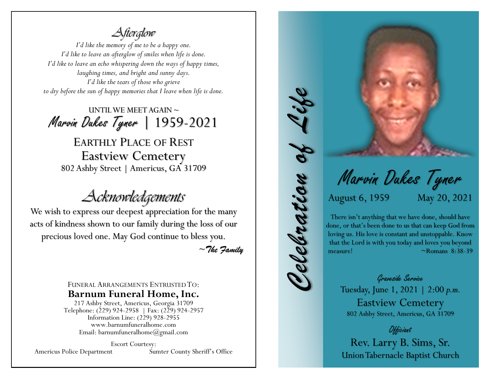*Afterglow*

*I'd like the memory of me to be a happy one. I'd like to leave an afterglow of smiles when life is done. I'd like to leave an echo whispering down the ways of happy times, laughing times, and bright and sunny days. I'd like the tears of those who grieve to dry before the sun of happy memories that I leave when life is done.*

UNTIL WE MEET AGAIN  $\sim$ Marvin Dukes Tyner | 1959-2021

EARTHLY PLACE OF REST Eastview Cemetery 802 Ashby Street | Americus, GA 31709

*Acknowledgements*

We wish to express our deepest appreciation for the many acts of kindness shown to our family during the loss of our precious loved one. May God continue to bless you.

~*The Family*

FUNERAL ARRANGEMENTS ENTRUSTED TO: **Barnum Funeral Home, Inc.**

217 Ashby Street, Americus, Georgia 31709 Telephone: (229) 924-2958 | Fax: (229) 924-2957 Information Line: (229) 928-2955 www.barnumfuneralhome.com Email: barnumfuneralhome@gmail.com

Escort Courtesy: Americus Police Department Sumter County Sheriff's Office Marvin Dukes Tyner

August 6, 1959 May 20, 2021

*Celebration of Life*

Telebration of

There isn't anything that we have done, should have done, or that's been done to us that can keep God from loving us. His love is constant and unstoppable. Know that the Lord is with you today and loves you beyond measure! ~Romans 8:38-39

Graveside Service Tuesday, June 1, 2021 | 2:00 *p.m.* Eastview Cemetery 802 Ashby Street, Americus, GA 31709

**Okkiciant** 

Rev. Larry B. Sims, Sr. Union Tabernacle Baptist Church